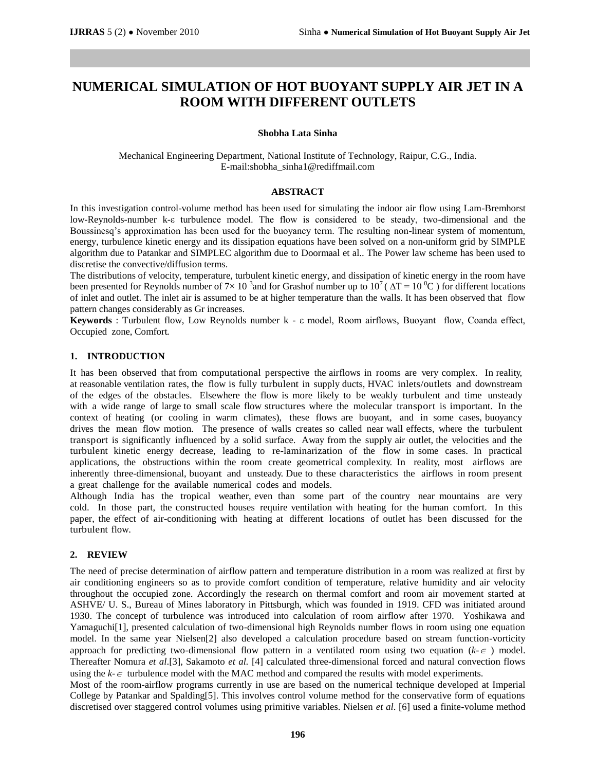# **NUMERICAL SIMULATION OF HOT BUOYANT SUPPLY AIR JET IN A ROOM WITH DIFFERENT OUTLETS**

## **Shobha Lata Sinha**

Mechanical Engineering Department, National Institute of Technology, Raipur, C.G., India. E-mail:shobha\_sinha1@rediffmail.com

### **ABSTRACT**

In this investigation control-volume method has been used for simulating the indoor air flow using Lam-Bremhorst low-Reynolds-number k-ε turbulence model. The flow is considered to be steady, two-dimensional and the Boussinesq's approximation has been used for the buoyancy term. The resulting non-linear system of momentum, energy, turbulence kinetic energy and its dissipation equations have been solved on a non-uniform grid by SIMPLE algorithm due to Patankar and SIMPLEC algorithm due to Doormaal et al.. The Power law scheme has been used to discretise the convective/diffusion terms.

The distributions of velocity, temperature, turbulent kinetic energy, and dissipation of kinetic energy in the room have been presented for Reynolds number of 7×10<sup>3</sup> and for Grashof number up to  $10^7$  ( $\Delta T = 10^0$ C) for different locations of inlet and outlet. The inlet air is assumed to be at higher temperature than the walls. It has been observed that flow pattern changes considerably as Gr increases.

**Keywords** : Turbulent flow, Low Reynolds number k - ε model, Room airflows, Buoyant flow, Coanda effect, Occupied zone, Comfort*.*

## **1. INTRODUCTION**

It has been observed that from computational perspective the airflows in rooms are very complex. In reality, at reasonable ventilation rates, the flow is fully turbulent in supply ducts, HVAC inlets/outlets and downstream of the edges of the obstacles. Elsewhere the flow is more likely to be weakly turbulent and time unsteady with a wide range of large to small scale flow structures where the molecular transport is important. In the context of heating (or cooling in warm climates), these flows are buoyant, and in some cases, buoyancy drives the mean flow motion. The presence of walls creates so called near wall effects, where the turbulent transport is significantly influenced by a solid surface. Away from the supply air outlet, the velocities and the turbulent kinetic energy decrease, leading to re-laminarization of the flow in some cases. In practical applications, the obstructions within the room create geometrical complexity. In reality, most airflows are inherently three-dimensional, buoyant and unsteady. Due to these characteristics the airflows in room present a great challenge for the available numerical codes and models.

Although India has the tropical weather, even than some part of the country near mountains are very cold. In those part, the constructed houses require ventilation with heating for the human comfort. In this paper, the effect of air-conditioning with heating at different locations of outlet has been discussed for the turbulent flow.

## **2. REVIEW**

The need of precise determination of airflow pattern and temperature distribution in a room was realized at first by air conditioning engineers so as to provide comfort condition of temperature, relative humidity and air velocity throughout the occupied zone. Accordingly the research on thermal comfort and room air movement started at ASHVE/ U. S., Bureau of Mines laboratory in Pittsburgh, which was founded in 1919. CFD was initiated around 1930. The concept of turbulence was introduced into calculation of room airflow after 1970. Yoshikawa and Yamaguchi<sup>[1]</sup>, presented calculation of two-dimensional high Reynolds number flows in room using one equation model. In the same year Nielsen[2] also developed a calculation procedure based on stream function-vorticity approach for predicting two-dimensional flow pattern in a ventilated room using two equation  $(k \infty)$  model. Thereafter Nomura *et al*.[3], Sakamoto *et al.* [4] calculated three-dimensional forced and natural convection flows using the  $k - \epsilon$  turbulence model with the MAC method and compared the results with model experiments.

Most of the room-airflow programs currently in use are based on the numerical technique developed at Imperial College by Patankar and Spalding[5]. This involves control volume method for the conservative form of equations discretised over staggered control volumes using primitive variables. Nielsen *et al*. [6] used a finite-volume method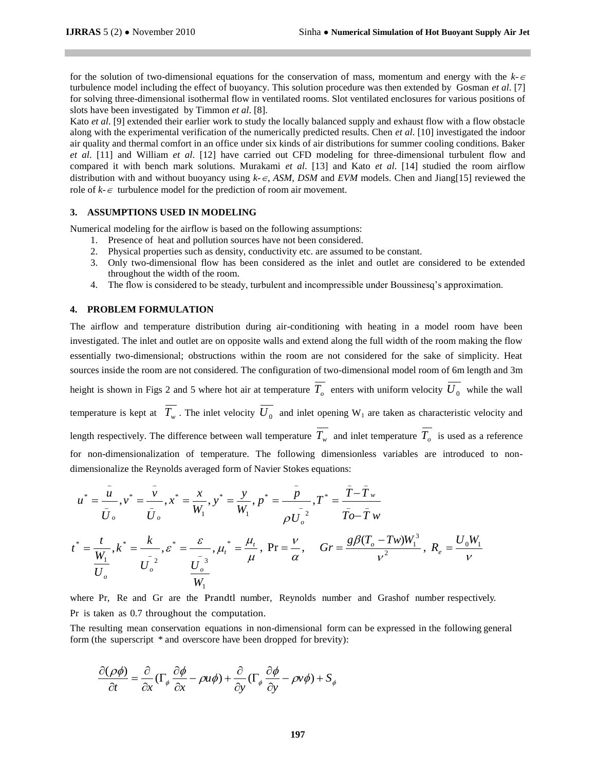for the solution of two-dimensional equations for the conservation of mass, momentum and energy with the  $k \in \mathcal{L}$ turbulence model including the effect of buoyancy. This solution procedure was then extended by Gosman *et al*. [7] for solving three-dimensional isothermal flow in ventilated rooms. Slot ventilated enclosures for various positions of slots have been investigated by Timmon *et al*. [8].

Kato *et al*. [9] extended their earlier work to study the locally balanced supply and exhaust flow with a flow obstacle along with the experimental verification of the numerically predicted results. Chen *et al*. [10] investigated the indoor air quality and thermal comfort in an office under six kinds of air distributions for summer cooling conditions. Baker *et al*. [11] and William *et al*. [12] have carried out CFD modeling for three-dimensional turbulent flow and compared it with bench mark solutions. Murakami *et al*. [13] and Kato *et al*. [14] studied the room airflow distribution with and without buoyancy using  $k \in \mathcal{F}$ , ASM, DSM and *EVM* models. Chen and Jiang[15] reviewed the role of  $k - \epsilon$  turbulence model for the prediction of room air movement.

#### **3. ASSUMPTIONS USED IN MODELING**

Numerical modeling for the airflow is based on the following assumptions:

- 1. Presence of heat and pollution sources have not been considered.
- 2. Physical properties such as density, conductivity etc. are assumed to be constant.
- 3. Only two-dimensional flow has been considered as the inlet and outlet are considered to be extended throughout the width of the room.
- 4. The flow is considered to be steady, turbulent and incompressible under Boussinesq's approximation.

#### **4. PROBLEM FORMULATION**

The airflow and temperature distribution during air-conditioning with heating in a model room have been investigated. The inlet and outlet are on opposite walls and extend along the full width of the room making the flow essentially two-dimensional; obstructions within the room are not considered for the sake of simplicity. Heat sources inside the room are not considered. The configuration of two-dimensional model room of 6m length and 3m height is shown in Figs 2 and 5 where hot air at temperature  $T_o$  enters with uniform velocity  $U_0$  while the wall temperature is kept at  $T_w$ . The inlet velocity  $U_0$  and inlet opening W<sub>1</sub> are taken as characteristic velocity and length respectively. The difference between wall temperature  $T_w$  and inlet temperature  $T_o$  is used as a reference for non-dimensionalization of temperature. The following dimensionless variables are introduced to nondimensionalize the Reynolds averaged form of Navier Stokes equations:

$$
u^* = \frac{\bar{u}}{\bar{U}_o}, v^* = \frac{\bar{v}}{\bar{U}_o}, x^* = \frac{x}{W_1}, y^* = \frac{y}{W_1}, p^* = \frac{\bar{p}}{\rho U_o^2}, T^* = \frac{\bar{T} - \bar{T}_w}{\bar{T}o - \bar{T}_w}
$$
  

$$
t^* = \frac{t}{W_1}, k^* = \frac{k}{U_o^2}, \varepsilon^* = \frac{\varepsilon}{U_o^2}, \mu_t^* = \frac{\mu_t}{\mu}, \text{ Pr} = \frac{v}{\alpha}, \quad Gr = \frac{g\beta(T_o - Tw)W_1^3}{v^2}, R_e = \frac{U_0W_1}{v}
$$

where Pr, Re and Gr are the Prandtl number, Reynolds number and Grashof number respectively. Pr is taken as 0.7 throughout the computation.

The resulting mean conservation equations in non-dimensional form can be expressed in the following general form (the superscript \* and overscore have been dropped for brevity):

$$
\frac{\partial(\rho\phi)}{\partial t} = \frac{\partial}{\partial x}(\Gamma_{\phi}\frac{\partial\phi}{\partial x} - \rho u\phi) + \frac{\partial}{\partial y}(\Gamma_{\phi}\frac{\partial\phi}{\partial y} - \rho v\phi) + S_{\phi}
$$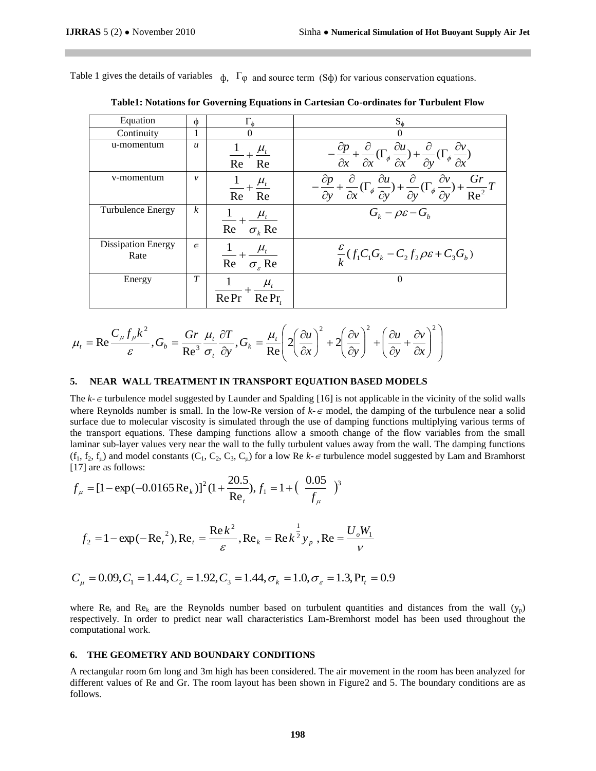Table 1 gives the details of variables  $\phi$ ,  $\Gamma\phi$  and source term (S $\phi$ ) for various conservation equations.

| Equation                          | Φ                | $\Gamma_{\phi}$                                              | $S_{\phi}$                                                                                                                                                                                                |
|-----------------------------------|------------------|--------------------------------------------------------------|-----------------------------------------------------------------------------------------------------------------------------------------------------------------------------------------------------------|
| Continuity                        | 1                |                                                              | 0                                                                                                                                                                                                         |
| u-momentum                        | $\boldsymbol{u}$ | $\mu_{t}$<br>Re<br>Re                                        | $-\frac{\partial p}{\partial x} + \frac{\partial}{\partial x}(\Gamma_{\phi} \frac{\partial u}{\partial x}) + \frac{\partial}{\partial y}(\Gamma_{\phi} \frac{\partial v}{\partial x})$                    |
| v-momentum                        | $\mathcal V$     | $\frac{1}{\phantom{0}} + \frac{\mu_t}{\phantom{0}}$<br>Re Re | $-\frac{\partial p}{\partial y} + \frac{\partial}{\partial x}(\Gamma_{\phi} \frac{\partial u}{\partial y}) + \frac{\partial}{\partial y}(\Gamma_{\phi} \frac{\partial v}{\partial y}) + \frac{Gr}{Re^2}T$ |
| Turbulence Energy                 | $\boldsymbol{k}$ | $\frac{1}{\text{Re}} + \frac{\mu_t}{\sigma_k \text{Re}}$     | $G_{\iota} - \rho \varepsilon - G_{\iota}$                                                                                                                                                                |
| <b>Dissipation Energy</b><br>Rate | $\in$            | $Re \sigma_{e}$ Re                                           | $\frac{\varepsilon}{L}(f_1C_1G_k-C_2f_2\rho\varepsilon+C_3G_b)$                                                                                                                                           |
| Energy                            | T                | $\mu_{t}$<br>RePr<br>Re Pr                                   | $\Omega$                                                                                                                                                                                                  |

**Table1: Notations for Governing Equations in Cartesian Co-ordinates for Turbulent Flow**

$$
\mu_t = \text{Re}\frac{C_{\mu}f_{\mu}k^2}{\varepsilon}, G_b = \frac{Gr}{\text{Re}^3} \frac{\mu_t}{\sigma_t} \frac{\partial T}{\partial y}, G_k = \frac{\mu_t}{\text{Re}} \left( 2\left(\frac{\partial u}{\partial x}\right)^2 + 2\left(\frac{\partial v}{\partial y}\right)^2 + \left(\frac{\partial u}{\partial y} + \frac{\partial v}{\partial x}\right)^2 \right)
$$

#### **5. NEAR WALL TREATMENT IN TRANSPORT EQUATION BASED MODELS**

The  $k - \epsilon$  turbulence model suggested by Launder and Spalding [16] is not applicable in the vicinity of the solid walls where Reynolds number is small. In the low-Re version of  $k \in \text{model}$ , the damping of the turbulence near a solid surface due to molecular viscosity is simulated through the use of damping functions multiplying various terms of the transport equations. These damping functions allow a smooth change of the flow variables from the small laminar sub-layer values very near the wall to the fully turbulent values away from the wall. The damping functions  $(f_1, f_2, f_0)$  and model constants  $(C_1, C_2, C_3, C_0)$  for a low Re  $k \in \text{turbulence model suggested by Lam and Bramhorst}$ [17] are as follows:

$$
f_{\mu} = [1 - \exp(-0.0165 \text{Re}_{k})]^2 (1 + \frac{20.5}{\text{Re}_{t}}), f_{1} = 1 + (\frac{0.05}{f_{\mu}})^3
$$

$$
f_2 = 1 - \exp(-Re_t^2), Re_t = \frac{\text{Re}k^2}{\varepsilon}, Re_k = \text{Re}k^{\frac{1}{2}}y_p, Re_t = \frac{U_oW_1}{V}
$$

$$
C_{\mu} = 0.09, C_1 = 1.44, C_2 = 1.92, C_3 = 1.44, \sigma_k = 1.0, \sigma_{\varepsilon} = 1.3, Pr_t = 0.9
$$

where Re<sub>t</sub> and Re<sub>k</sub> are the Reynolds number based on turbulent quantities and distances from the wall  $(y_p)$ respectively. In order to predict near wall characteristics Lam-Bremhorst model has been used throughout the computational work.

#### **6. THE GEOMETRY AND BOUNDARY CONDITIONS**

A rectangular room 6m long and 3m high has been considered. The air movement in the room has been analyzed for different values of Re and Gr. The room layout has been shown in Figure2 and 5. The boundary conditions are as follows.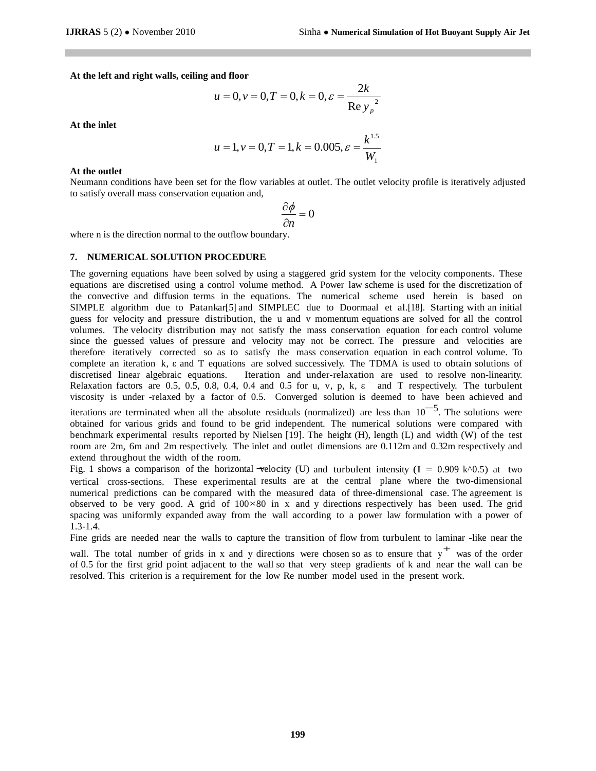**At the left and right walls, ceiling and floor**

$$
u = 0, v = 0, T = 0, k = 0, \varepsilon = \frac{2k}{\text{Re } y_p}.
$$

**At the inlet**

$$
u = 1, v = 0, T = 1, k = 0.005, \varepsilon = \frac{k^{1.5}}{W_1}
$$

#### **At the outlet**

Neumann conditions have been set for the flow variables at outlet. The outlet velocity profile is iteratively adjusted to satisfy overall mass conservation equation and,

$$
\frac{\partial \phi}{\partial n} = 0
$$

where n is the direction normal to the outflow boundary.

## **7. NUMERICAL SOLUTION PROCEDURE**

The governing equations have been solved by using a staggered grid system for the velocity components. These equations are discretised using a control volume method. A Power law scheme is used for the discretization of the convective and diffusion terms in the equations. The numerical scheme used herein is based on SIMPLE algorithm due to Patankar[5] and SIMPLEC due to Doormaal et al.[18]. Starting with an initial guess for velocity and pressure distribution, the u and v momentum equations are solved for all the control volumes. The velocity distribution may not satisfy the mass conservation equation for each control volume since the guessed values of pressure and velocity may not be correct. The pressure and velocities are therefore iteratively corrected so as to satisfy the mass conservation equation in each control volume. To complete an iteration k, ε and T equations are solved successively. The TDMA is used to obtain solutions of discretised linear algebraic equations. Iteration and under-relaxation are used to resolve non-linearity. Relaxation factors are 0.5, 0.5, 0.8, 0.4, 0.4 and 0.5 for u, v, p, k,  $\varepsilon$  and T respectively. The turbulent viscosity is under -relaxed by a factor of 0.5. Converged solution is deemed to have been achieved and

iterations are terminated when all the absolute residuals (normalized) are less than  $10^{-5}$ . The solutions were obtained for various grids and found to be grid independent. The numerical solutions were compared with benchmark experimental results reported by Nielsen [19]. The height (H), length (L) and width (W) of the test room are 2m, 6m and 2m respectively. The inlet and outlet dimensions are 0.112m and 0.32m respectively and extend throughout the width of the room.

Fig. 1 shows a comparison of the horizontal velocity (U) and turbulent intensity (I = 0.909 k^0.5) at two vertical cross-sections. These experimental results are at the central plane where the two-dimensional numerical predictions can be compared with the measured data of three-dimensional case. The agreement is observed to be very good. A grid of  $100\times80$  in x and y directions respectively has been used. The grid spacing was uniformly expanded away from the wall according to a power law formulation with a power of 1.3-1.4.

Fine grids are needed near the walls to capture the transition of flow from turbulent to laminar -like near the

wall. The total number of grids in x and y directions were chosen so as to ensure that y<sup>+</sup> was of the order of 0.5 for the first grid point adjacent to the wall so that very steep gradients of k and near the wall can be resolved. This criterion is a requirement for the low Re number model used in the present work.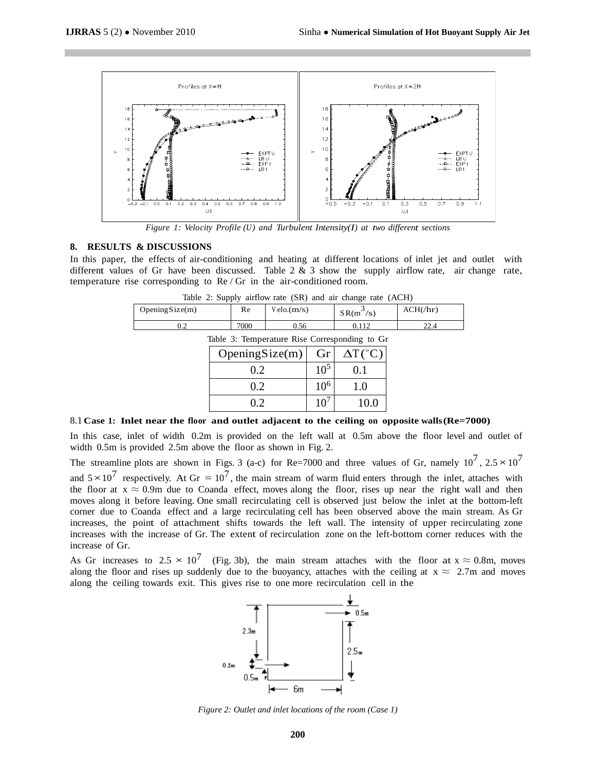

*Figure 1: Velocity Profile (U) and Turbulent Intensity(I) at two different sections*

#### **8. RESULTS & DISCUSSIONS**

In this paper, the effects of air-conditioning and heating at different locations of inlet jet and outlet with different values of Gr have been discussed. Table  $2 \& 3$  show the supply airflow rate, air change rate, temperature rise corresponding to Re / Gr in the air-conditioned room.

| Table 2. Supply all low rate $(SK)$ and all change rate $(ACH)$ |      |            |             |                |  |  |  |
|-----------------------------------------------------------------|------|------------|-------------|----------------|--|--|--|
| Opening $Size(m)$                                               | Re   | Velo.(m/s) | $SR(m^3/s)$ | $ACH(\hbar r)$ |  |  |  |
|                                                                 | 7000 | J.56       |             |                |  |  |  |
| Takle 2. Tampangtung Disa Camaspanding to Cn                    |      |            |             |                |  |  |  |

Table 2: Supply airflow rate (SR) and air change rate (ACH)

Table 3: Temperature Rise Corresponding to Gr

| OpeningSize(m) | Gr       | $\Delta T(^{\circ}C)$ |
|----------------|----------|-----------------------|
| 0.2            | $10^{5}$ | 0.1                   |
| 0.2            | $10^{6}$ | 1.0                   |
| 02             |          | 10.0                  |

#### 8.1 **Case 1: Inlet near the floor and outlet adjacent to the ceiling on opposite walls(Re=7000)**

In this case, inlet of width 0.2m is provided on the left wall at 0.5m above the floor level and outlet of width 0.5m is provided 2.5m above the floor as shown in Fig. 2.

The streamline plots are shown in Figs. 3 (a-c) for Re=7000 and three values of Gr, namely  $10^7$ ,  $2.5 \times 10^7$ and  $5 \times 10^7$  respectively. At Gr =  $10^7$ , the main stream of warm fluid enters through the inlet, attaches with the floor at  $x \approx 0.9$ m due to Coanda effect, moves along the floor, rises up near the right wall and then moves along it before leaving. One small recirculating cell is observed just below the inlet at the bottom-left corner due to Coanda effect and a large recirculating cell has been observed above the main stream. As Gr increases, the point of attachment shifts towards the left wall. The intensity of upper recirculating zone increases with the increase of Gr. The extent of recirculation zone on the left-bottom corner reduces with the increase of Gr.

As Gr increases to  $2.5 \times 10^7$  (Fig. 3b), the main stream attaches with the floor at  $x \approx 0.8$ m, moves along the floor and rises up suddenly due to the buoyancy, attaches with the ceiling at  $x \approx 2.7$ m and moves along the ceiling towards exit. This gives rise to one more recirculation cell in the



*Figure 2: Outlet and inlet locations of the room (Case 1)*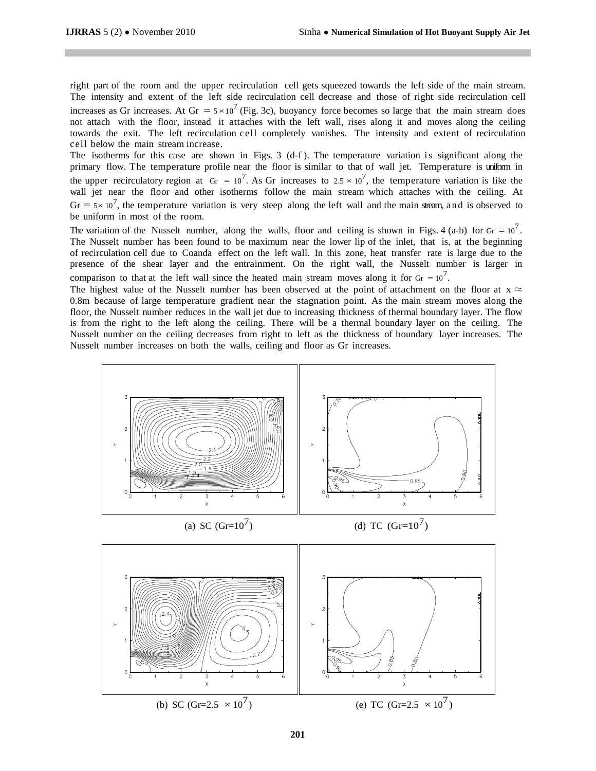right part of the room and the upper recirculation cell gets squeezed towards the left side of the main stream. The intensity and extent of the left side recirculation cell decrease and those of right side recirculation cell increases as Gr increases. At Gr =  $5 \times 10^7$  (Fig. 3c), buoyancy force becomes so large that the main stream does not attach with the floor, instead it attaches with the left wall, rises along it and moves along the ceiling towards the exit. The left recirculation cell completely vanishes. The intensity and extent of recirculation cell below the main stream increase.

The isotherms for this case are shown in Figs. 3 (d-f). The temperature variation is significant along the primary flow. The temperature profile near the floor is similar to that of wall jet. Temperature is uniform in the upper recirculatory region at  $Gr = 10^7$ . As Gr increases to  $2.5 \times 10^7$ , the temperature variation is like the wall jet near the floor and other isotherms follow the main stream which attaches with the ceiling. At  $Gr = 5 \times 10^7$ , the temperature variation is very steep along the left wall and the main stream, and is observed to be uniform in most of the room.

The variation of the Nusselt number, along the walls, floor and ceiling is shown in Figs. 4 (a-b) for Gr =  $10^7$ . The Nusselt number has been found to be maximum near the lower lip of the inlet, that is, at the beginning of recirculation cell due to Coanda effect on the left wall. In this zone, heat transfer rate is large due to the presence of the shear layer and the entrainment. On the right wall, the Nusselt number is larger in comparison to that at the left wall since the heated main stream moves along it for  $Gr = 10^7$ .

The highest value of the Nusselt number has been observed at the point of attachment on the floor at  $x \approx$ 0.8m because of large temperature gradient near the stagnation point. As the main stream moves along the floor, the Nusselt number reduces in the wall jet due to increasing thickness of thermal boundary layer. The flow is from the right to the left along the ceiling. There will be a thermal boundary layer on the ceiling. The Nusselt number on the ceiling decreases from right to left as the thickness of boundary layer increases. The Nusselt number increases on both the walls, ceiling and floor as Gr increases.

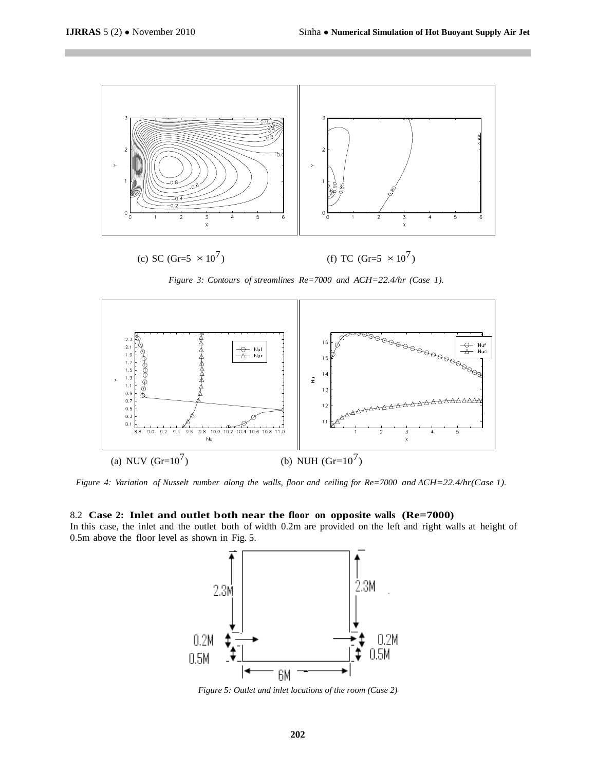

*Figure 3: Contours of streamlines Re=7000 and ACH=22.4/hr (Case 1).*



*Figure 4: Variation of Nusselt number along the walls, floor and ceiling for Re=7000 and ACH=22.4/hr(Case 1).*

#### 8.2 **Case 2: Inlet and outlet both near the floor on opposite walls (Re=7000)**

In this case, the inlet and the outlet both of width 0.2m are provided on the left and right walls at height of 0.5m above the floor level as shown in Fig. 5.



*Figure 5: Outlet and inlet locations of the room (Case 2)*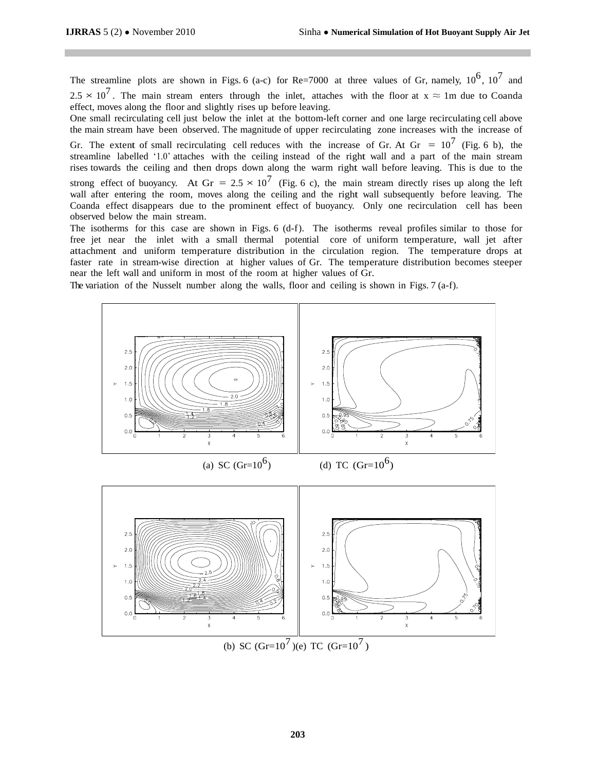The streamline plots are shown in Figs. 6 (a-c) for Re=7000 at three values of Gr, namely,  $10^6$ ,  $10^7$  and  $2.5 \times 10^7$ . The main stream enters through the inlet, attaches with the floor at  $x \approx 1$ m due to Coanda effect, moves along the floor and slightly rises up before leaving.

One small recirculating cell just below the inlet at the bottom-left corner and one large recirculating cell above the main stream have been observed. The magnitude of upper recirculating zone increases with the increase of

Gr. The extent of small recirculating cell reduces with the increase of Gr. At Gr =  $10^7$  (Fig. 6 b), the streamline labelled '1.0' attaches with the ceiling instead of the right wall and a part of the main stream rises towards the ceiling and then drops down along the warm right wall before leaving. This is due to the strong effect of buoyancy. At Gr =  $2.5 \times 10^7$  (Fig. 6 c), the main stream directly rises up along the left wall after entering the room, moves along the ceiling and the right wall subsequently before leaving. The Coanda effect disappears due to the prominent effect of buoyancy. Only one recirculation cell has been observed below the main stream.

The isotherms for this case are shown in Figs. 6 (d-f). The isotherms reveal profiles similar to those for free jet near the inlet with a small thermal potential core of uniform temperature, wall jet after attachment and uniform temperature distribution in the circulation region. The temperature drops at faster rate in stream-wise direction at higher values of Gr. The temperature distribution becomes steeper near the left wall and uniform in most of the room at higher values of Gr.

The variation of the Nusselt number along the walls, floor and ceiling is shown in Figs. 7 (a-f).

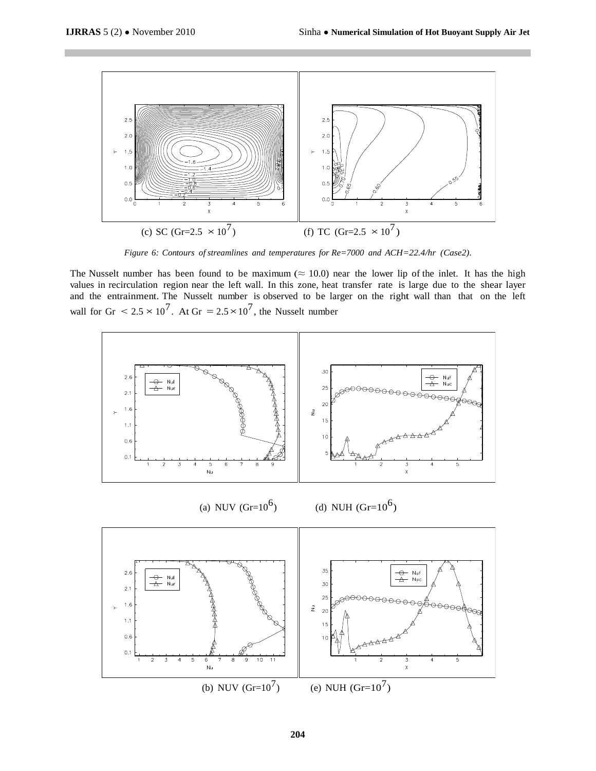

*Figure 6: Contours of streamlines and temperatures for Re=7000 and ACH=22.4/hr (Case2).*

The Nusselt number has been found to be maximum ( $\approx 10.0$ ) near the lower lip of the inlet. It has the high values in recirculation region near the left wall. In this zone, heat transfer rate is large due to the shear layer and the entrainment. The Nusselt number is observed to be larger on the right wall than that on the left wall for Gr  $< 2.5 \times 10^7$ . At Gr  $= 2.5 \times 10^7$ , the Nusselt number

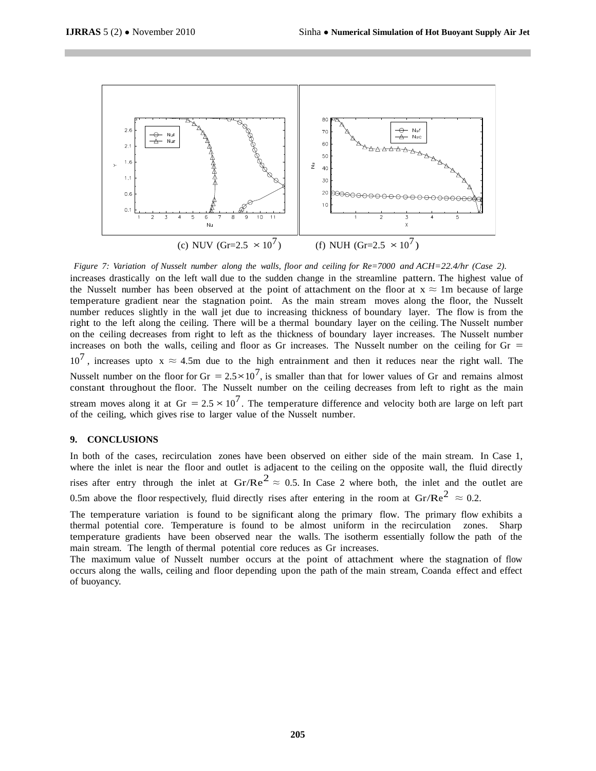

*Figure 7: Variation of Nusselt number along the walls, floor and ceiling for Re=7000 and ACH=22.4/hr (Case 2).*

increases drastically on the left wall due to the sudden change in the streamline pattern. The highest value of the Nusselt number has been observed at the point of attachment on the floor at  $x \approx 1$ m because of large temperature gradient near the stagnation point. As the main stream moves along the floor, the Nusselt number reduces slightly in the wall jet due to increasing thickness of boundary layer. The flow is from the right to the left along the ceiling. There will be a thermal boundary layer on the ceiling. The Nusselt number on the ceiling decreases from right to left as the thickness of boundary layer increases. The Nusselt number increases on both the walls, ceiling and floor as Gr increases. The Nusselt number on the ceiling for  $Gr =$  $10^7$ , increases upto x  $\approx$  4.5m due to the high entrainment and then it reduces near the right wall. The Nusselt number on the floor for  $Gr = 2.5 \times 10^7$ , is smaller than that for lower values of Gr and remains almost constant throughout the floor. The Nusselt number on the ceiling decreases from left to right as the main stream moves along it at Gr  $= 2.5 \times 10^7$ . The temperature difference and velocity both are large on left part of the ceiling, which gives rise to larger value of the Nusselt number.

## **9. CONCLUSIONS**

In both of the cases, recirculation zones have been observed on either side of the main stream. In Case 1, where the inlet is near the floor and outlet is adjacent to the ceiling on the opposite wall, the fluid directly rises after entry through the inlet at  $\text{Gr/Re}^2 \approx 0.5$ . In Case 2 where both, the inlet and the outlet are 0.5m above the floor respectively, fluid directly rises after entering in the room at  $\text{Gr/Re}^2 \approx 0.2$ .

The temperature variation is found to be significant along the primary flow. The primary flow exhibits a thermal potential core. Temperature is found to be almost uniform in the recirculation zones. Sharp temperature gradients have been observed near the walls. The isotherm essentially follow the path of the main stream. The length of thermal potential core reduces as Gr increases.

The maximum value of Nusselt number occurs at the point of attachment where the stagnation of flow occurs along the walls, ceiling and floor depending upon the path of the main stream, Coanda effect and effect of buoyancy.